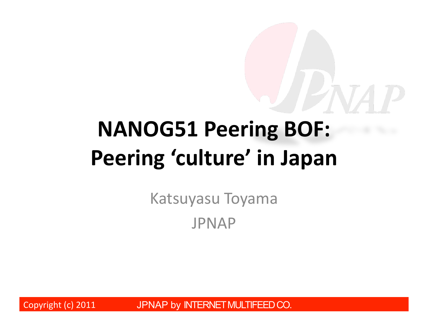# NANOG51 Peering BOF: Peering 'culture' in Japan

Katsuyasu Toyama JPNAP\*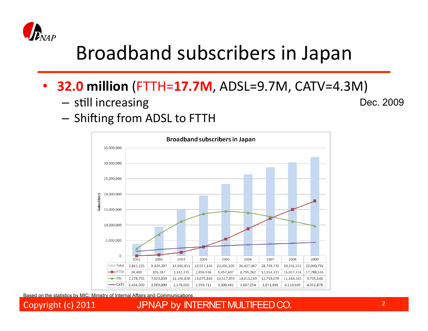

#### Broadband subscribers in Japan

- **32.0 million** (FTTH=**17.7M**, ADSL=9.7M, CATV=4.3M)
	- $-$  still increasing

Dec. 2009

 $-$  Shifting from ADSL to FTTH



Based on the statistics by MIC: Ministry of Internal Affairs and Communications

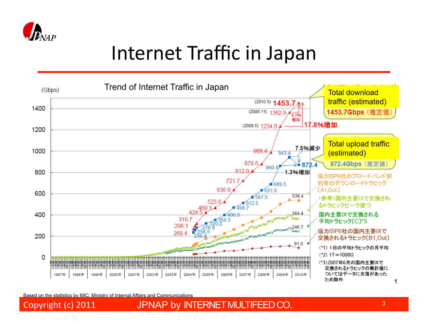

#### Internet Traffic in Japan



Based on the statistics by MIC: Ministry of Internal Affairs and Communications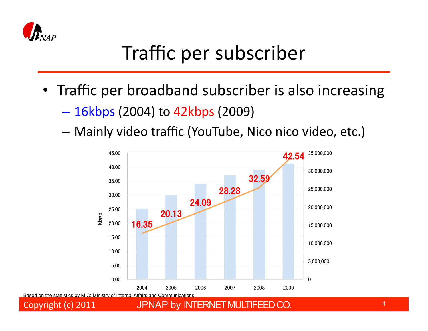

### Traffic per subscriber

- Traffic per broadband subscriber is also increasing
	- 16kbps (2004) to 42kbps (2009)\*
	- Mainly video traffic (YouTube, Nico nico video, etc.)

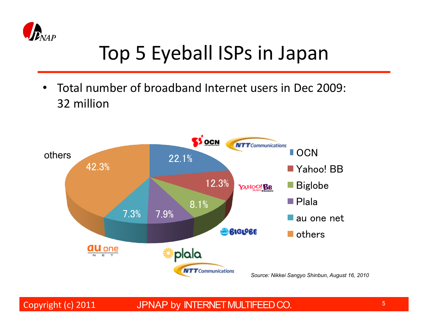

### Top 5 Eyeball ISPs in Japan

• Total number of broadband Internet users in Dec 2009: 32 million

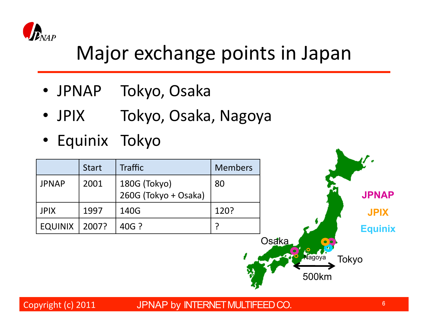

#### Major exchange points in Japan

- JPNAP Tokyo, Osaka
- JPIX Tokyo, Osaka, Nagoya
- Equinix Tokyo

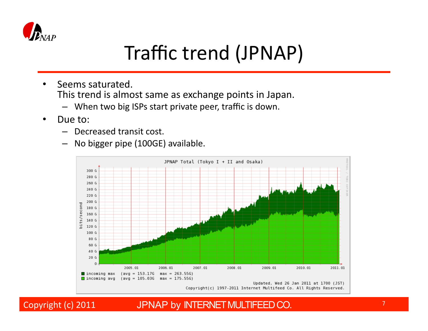

#### Traffic trend (JPNAP)

- Seems saturated. This trend is almost same as exchange points in Japan.
	- $-$  When two big ISPs start private peer, traffic is down.
- Due to:
	- $-$  Decreased transit cost.
	- No bigger pipe (100GE) available.

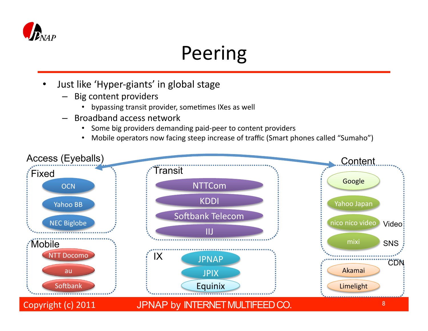

### Peering

- Just like 'Hyper-giants' in global stage
	- Big content providers
		- bypassing transit provider, sometimes IXes as well
	- Broadband access network
		- Some big providers demanding paid-peer to content providers
		- Mobile operators now facing steep increase of traffic (Smart phones called "Sumaho")

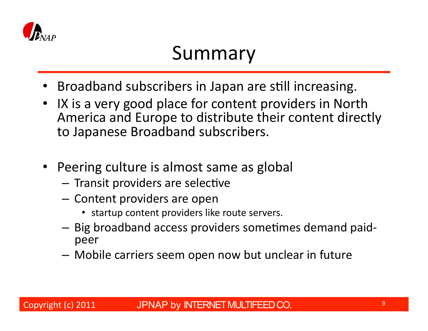

#### Summary

- Broadband subscribers in Japan are still increasing.
- IX is a very good place for content providers in North America and Europe to distribute their content directly to Japanese Broadband subscribers.
- Peering culture is almost same as global
	- $-$  Transit providers are selective
	- Content providers are open
		- startup content providers like route servers.
	- $-$  Big broadband access providers sometimes demand paidpeer\*
	- $-$  Mobile carriers seem open now but unclear in future